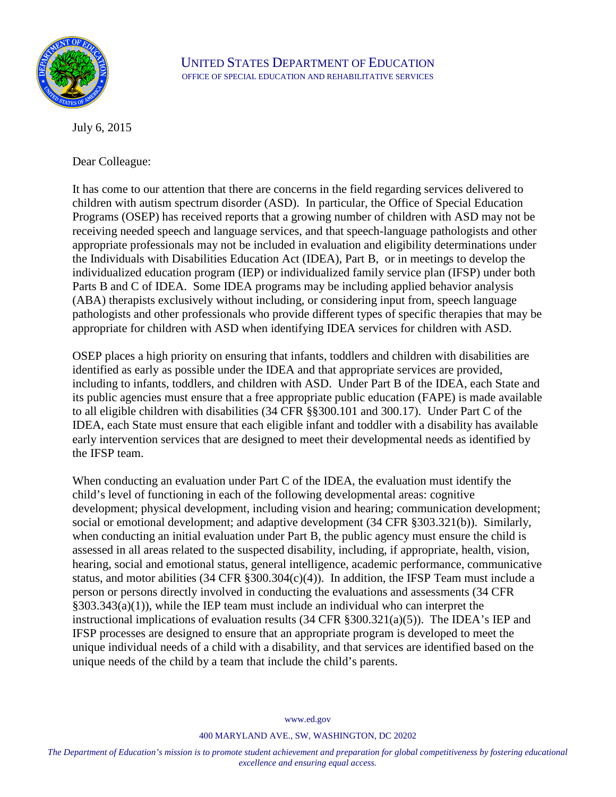

July 6, 2015

Dear Colleague:

It has come to our attention that there are concerns in the field regarding services delivered to children with autism spectrum disorder (ASD). In particular, the Office of Special Education Programs (OSEP) has received reports that a growing number of children with ASD may not be receiving needed speech and language services, and that speech-language pathologists and other appropriate professionals may not be included in evaluation and eligibility determinations under the Individuals with Disabilities Education Act (IDEA), Part B, or in meetings to develop the individualized education program (IEP) or individualized family service plan (IFSP) under both Parts B and C of IDEA. Some IDEA programs may be including applied behavior analysis (ABA) therapists exclusively without including, or considering input from, speech language pathologists and other professionals who provide different types of specific therapies that may be appropriate for children with ASD when identifying IDEA services for children with ASD.

OSEP places a high priority on ensuring that infants, toddlers and children with disabilities are identified as early as possible under the IDEA and that appropriate services are provided, including to infants, toddlers, and children with ASD. Under Part B of the IDEA, each State and its public agencies must ensure that a free appropriate public education (FAPE) is made available to all eligible children with disabilities (34 CFR §§300.101 and 300.17). Under Part C of the IDEA, each State must ensure that each eligible infant and toddler with a disability has available early intervention services that are designed to meet their developmental needs as identified by the IFSP team.

When conducting an evaluation under Part C of the IDEA, the evaluation must identify the child's level of functioning in each of the following developmental areas: cognitive development; physical development, including vision and hearing; communication development; social or emotional development; and adaptive development (34 CFR §303.321(b)). Similarly, when conducting an initial evaluation under Part B, the public agency must ensure the child is assessed in all areas related to the suspected disability, including, if appropriate, health, vision, hearing, social and emotional status, general intelligence, academic performance, communicative status, and motor abilities (34 CFR §300.304(c)(4)). In addition, the IFSP Team must include a person or persons directly involved in conducting the evaluations and assessments (34 CFR §303.343(a)(1)), while the IEP team must include an individual who can interpret the instructional implications of evaluation results (34 CFR §300.321(a)(5)). The IDEA's IEP and IFSP processes are designed to ensure that an appropriate program is developed to meet the unique individual needs of a child with a disability, and that services are identified based on the unique needs of the child by a team that include the child's parents.

[www.ed.gov](http://www.ed.gov/)

400 MARYLAND AVE., SW, WASHINGTON, DC 20202